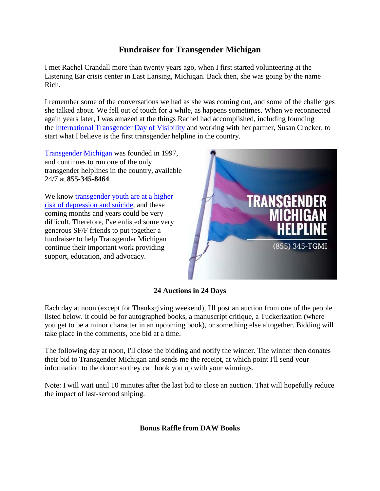## **Fundraiser for Transgender Michigan**

I met Rachel Crandall more than twenty years ago, when I first started volunteering at the Listening Ear crisis center in East Lansing, Michigan. Back then, she was going by the name Rich.

I remember some of the conversations we had as she was coming out, and some of the challenges she talked about. We fell out of touch for a while, as happens sometimes. When we reconnected again years later, I was amazed at the things Rachel had accomplished, including founding the [International Transgender Day of Visibility](https://en.wikipedia.org/wiki/International_Transgender_Day_of_Visibility) and working with her partner, Susan Crocker, to start what I believe is the first transgender helpline in the country.

[Transgender Michigan](http://www.transgendermichigan.org/) was founded in 1997, and continues to run one of the only transgender helplines in the country, available 24/7 at **855-345-8464**.

We know transgender youth are at a higher [risk of depression and suicide,](http://yspp.org/about_suicide/statistics.htm) and these coming months and years could be very difficult. Therefore, I've enlisted some very generous SF/F friends to put together a fundraiser to help Transgender Michigan continue their important work providing support, education, and advocacy.



## **24 Auctions in 24 Days**

Each day at noon (except for Thanksgiving weekend), I'll post an auction from one of the people listed below. It could be for autographed books, a manuscript critique, a Tuckerization (where you get to be a minor character in an upcoming book), or something else altogether. Bidding will take place in the comments, one bid at a time.

The following day at noon, I'll close the bidding and notify the winner. The winner then donates their bid to Transgender Michigan and sends me the receipt, at which point I'll send your information to the donor so they can hook you up with your winnings.

Note: I will wait until 10 minutes after the last bid to close an auction. That will hopefully reduce the impact of last-second sniping.

**Bonus Raffle from DAW Books**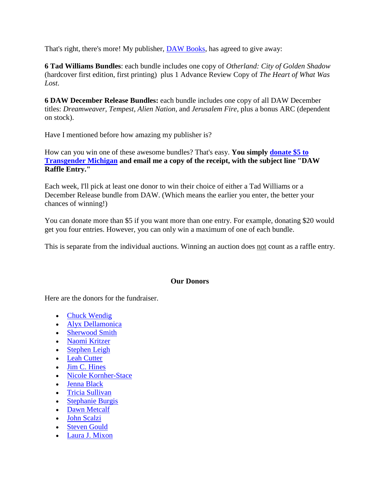That's right, there's more! My publisher, [DAW Books,](http://www.penguin.com/meet/publishers/daw/) has agreed to give away:

**6 Tad Williams Bundles**: each bundle includes one copy of *Otherland: City of Golden Shadow* (hardcover first edition, first printing) plus 1 Advance Review Copy of *The Heart of What Was Lost*.

**6 DAW December Release Bundles:** each bundle includes one copy of all DAW December titles: *Dreamweaver*, *Tempest*, *Alien Nation*, and *Jerusalem Fire*, plus a bonus ARC (dependent on stock).

Have I mentioned before how amazing my publisher is?

How can you win one of these awesome bundles? That's easy. **You simply [donate \\$5 to](http://www.transgendermichigan.org/contribution.html)  [Transgender Michigan](http://www.transgendermichigan.org/contribution.html) and email me a copy of the receipt, with the subject line "DAW Raffle Entry."**

Each week, I'll pick at least one donor to win their choice of either a Tad Williams or a December Release bundle from DAW. (Which means the earlier you enter, the better your chances of winning!)

You can donate more than \$5 if you want more than one entry. For example, donating \$20 would get you four entries. However, you can only win a maximum of one of each bundle.

This is separate from the individual auctions. Winning an auction does not count as a raffle entry.

## **Our Donors**

Here are the donors for the fundraiser.

- [Chuck Wendig](http://www.terribleminds.com/)
- [Alyx Dellamonica](http://alyxdellamonica.com/)
- [Sherwood Smith](http://www.sherwoodsmith.net/)
- [Naomi Kritzer](https://naomikritzer.com/)
- [Stephen Leigh](http://www.farrellworlds.com/)
- [Leah Cutter](http://www.leahcutter.com/)
- $\bullet$  [Jim C. Hines](http://www.jimchines.com/)
- [Nicole Kornher-Stace](http://nicolekornherstace.com/)
- [Jenna Black](http://www.jennablack.com/)
- [Tricia Sullivan](https://triciasullivan.com/)
- [Stephanie Burgis](http://www.stephanieburgis.com/)
- [Dawn Metcalf](http://www.dawnmetcalf.com/)
- [John Scalzi](https://www.scalzi.com/)
- [Steven Gould](http://eatourbrains.com/steve/)
- [Laura J. Mixon](http://laurajmixon.com/)